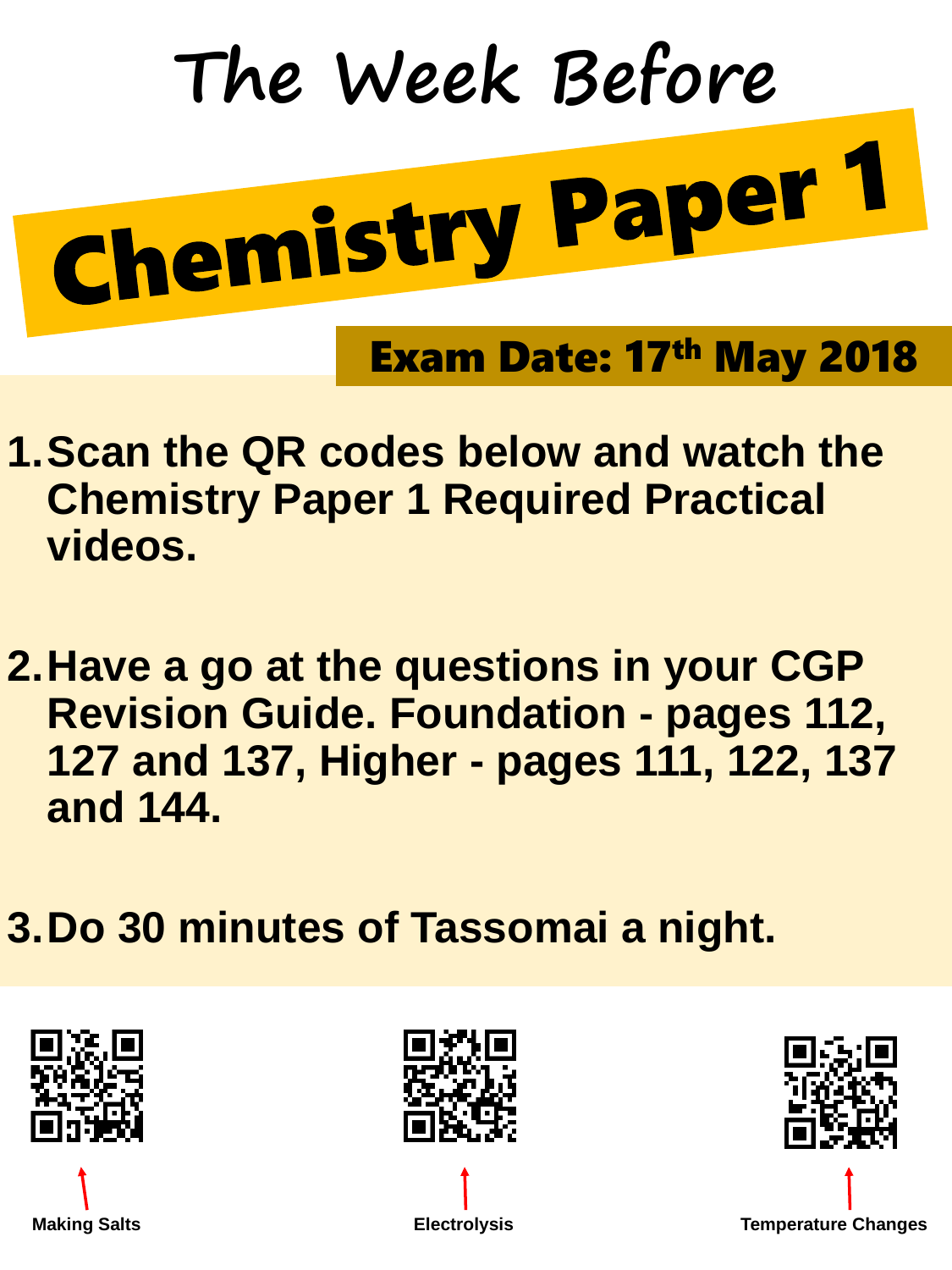## **1.Scan the QR codes below and watch the Chemistry Paper 1 Required Practical videos.**

**2.Have a go at the questions in your CGP Revision Guide. Foundation - pages 112, 127 and 137, Higher - pages 111, 122, 137 and 144.**

## **3.Do 30 minutes of Tassomai a night.**



**Making Salts Electrolysis Temperature Changes** 

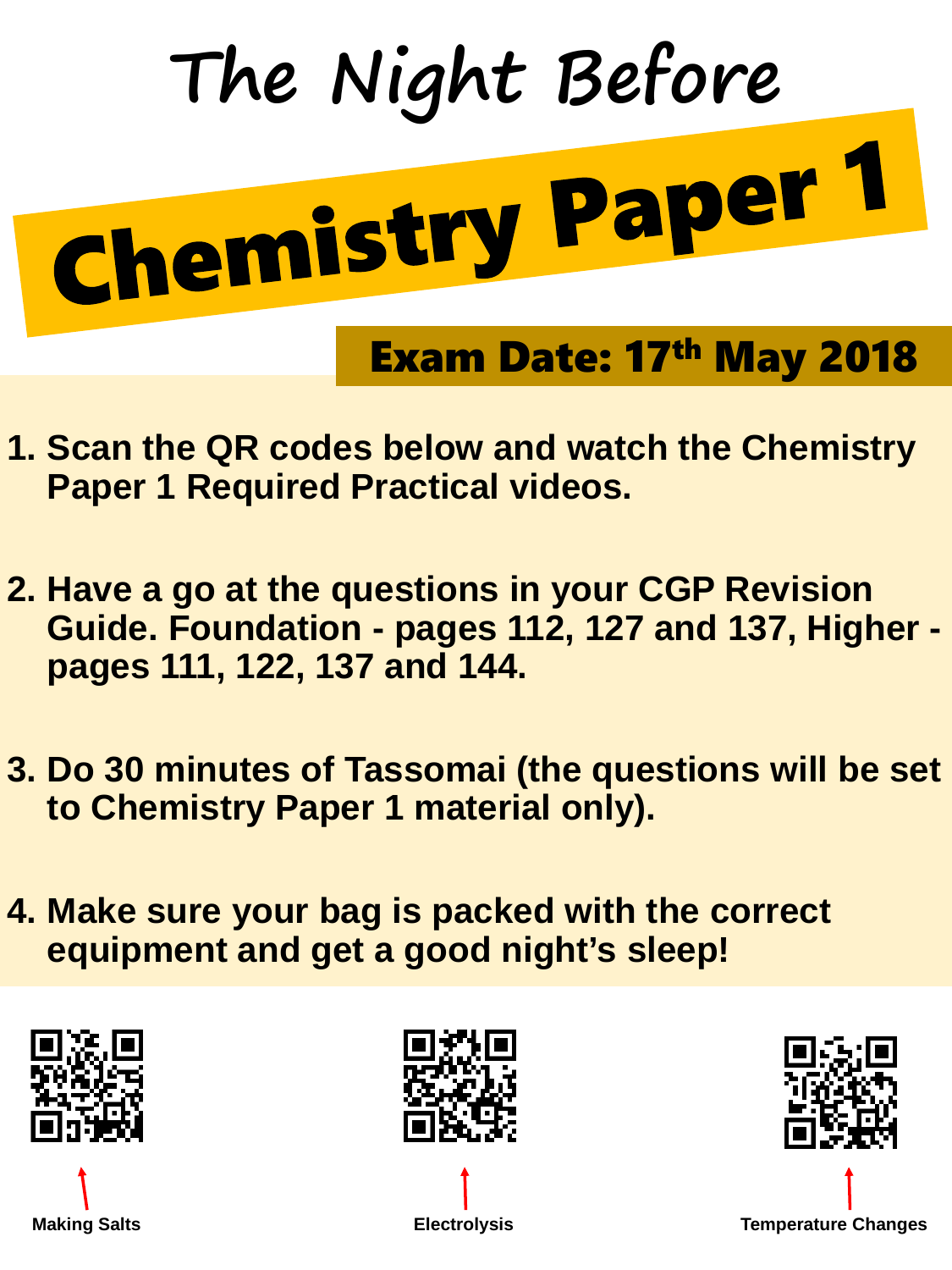- **1. Scan the QR codes below and watch the Chemistry Paper 1 Required Practical videos.**
- **2. Have a go at the questions in your CGP Revision Guide. Foundation - pages 112, 127 and 137, Higher pages 111, 122, 137 and 144.**
- **3. Do 30 minutes of Tassomai (the questions will be set to Chemistry Paper 1 material only).**

## **4. Make sure your bag is packed with the correct equipment and get a good night's sleep!**



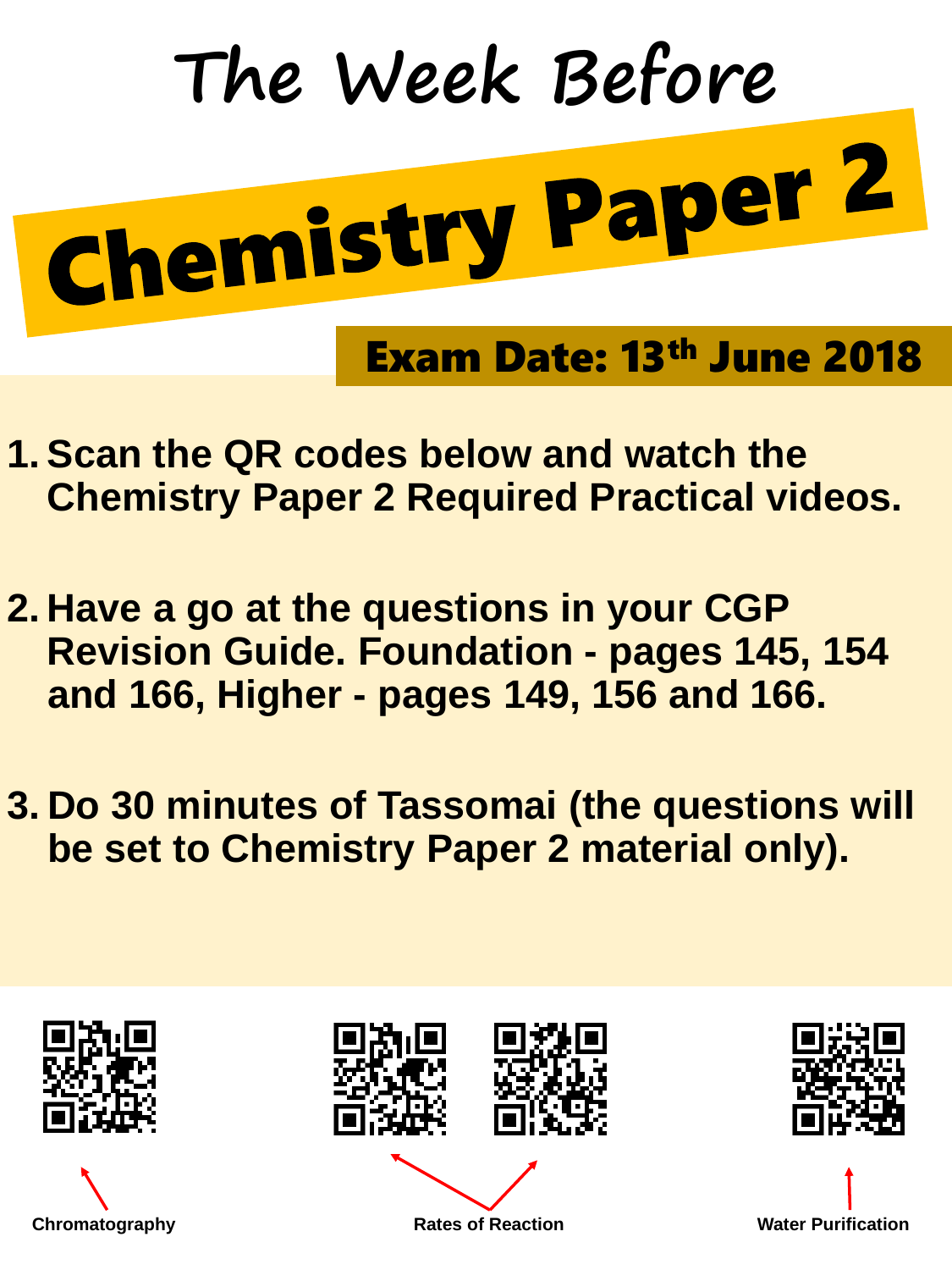- **1. Scan the QR codes below and watch the Chemistry Paper 2 Required Practical videos.**
- **2. Have a go at the questions in your CGP Revision Guide. Foundation - pages 145, 154 and 166, Higher - pages 149, 156 and 166.**
- **3. Do 30 minutes of Tassomai (the questions will be set to Chemistry Paper 2 material only).**